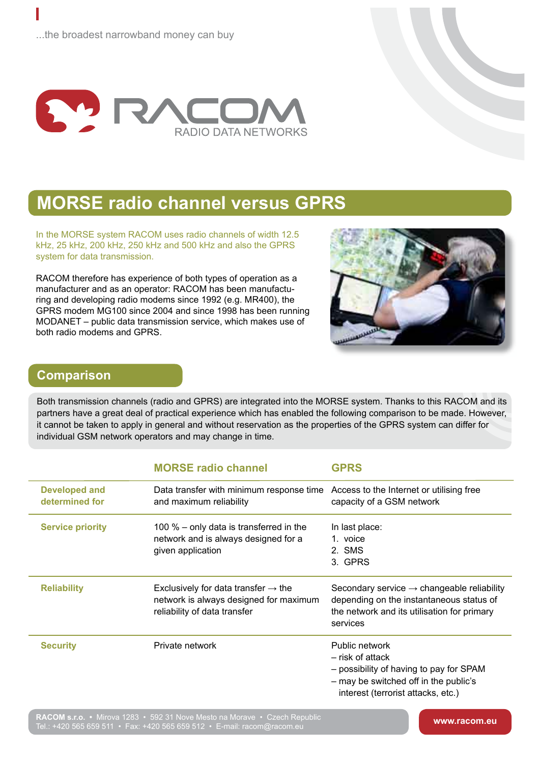

## **MORSE radio channel versus GPRS**

In the MORSE system RACOM uses radio channels of width 12.5 kHz, 25 kHz, 200 kHz, 250 kHz and 500 kHz and also the GPRS system for data transmission.

RACOM therefore has experience of both types of operation as a manufacturer and as an operator: RACOM has been manufacturing and developing radio modems since 1992 (e.g. MR400), the GPRS modem MG100 since 2004 and since 1998 has been running MODANET – public data transmission service, which makes use of both radio modems and GPRS.

Tel.: +420 565 659 511 • Fax: +420 565 659 512 • E-mail: racom@racom.eu



## **Comparison**

Both transmission channels (radio and GPRS) are integrated into the MORSE system. Thanks to this RACOM and its partners have a great deal of practical experience which has enabled the following comparison to be made. However, it cannot be taken to apply in general and without reservation as the properties of the GPRS system can differ for individual GSM network operators and may change in time.

|                                        | <b>MORSE radio channel</b>                                                                                                | <b>GPRS</b>                                                                                                                                                   |
|----------------------------------------|---------------------------------------------------------------------------------------------------------------------------|---------------------------------------------------------------------------------------------------------------------------------------------------------------|
| <b>Developed and</b><br>determined for | Data transfer with minimum response time<br>and maximum reliability                                                       | Access to the Internet or utilising free<br>capacity of a GSM network                                                                                         |
| <b>Service priority</b>                | 100 $%$ – only data is transferred in the<br>network and is always designed for a<br>given application                    | In last place:<br>1. voice<br>2. SMS<br>3. GPRS                                                                                                               |
| <b>Reliability</b>                     | Exclusively for data transfer $\rightarrow$ the<br>network is always designed for maximum<br>reliability of data transfer | Secondary service $\rightarrow$ changeable reliability<br>depending on the instantaneous status of<br>the network and its utilisation for primary<br>services |
| <b>Security</b>                        | Private network                                                                                                           | Public network<br>– risk of attack<br>- possibility of having to pay for SPAM<br>- may be switched off in the public's<br>interest (terrorist attacks, etc.)  |